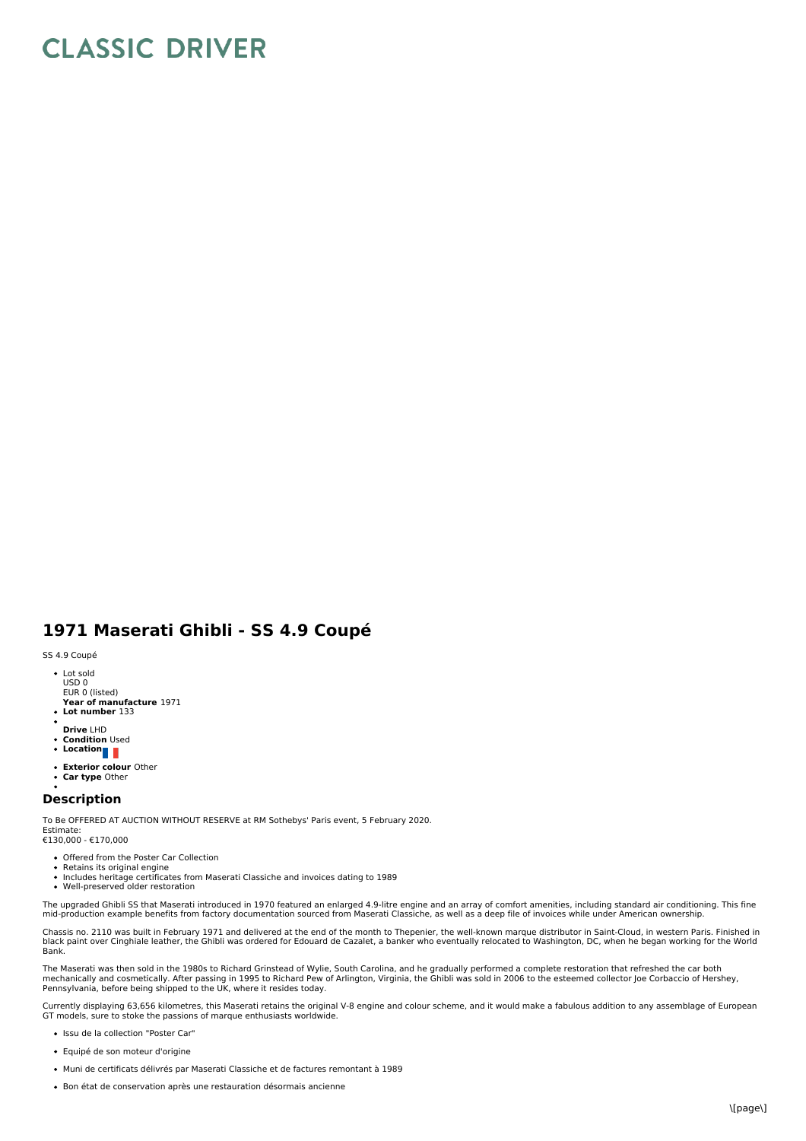## **CLASSIC DRIVER**

## **1971 Maserati Ghibli - SS 4.9 Coupé**

SS 4.9 Coupé

- Lot sold USD 0 EUR 0 (listed)
- **Year of manufacture** 1971 **Lot number** 133
- 
- **Drive** LHD
- **Condition** Used
- **Location**
- **Exterior colour** Other
- **Car type** Other

## **Description**

To Be OFFERED AT AUCTION WITHOUT RESERVE at RM Sothebys' Paris event, 5 February 2020. Estimate:

€130,000 - €170,000

- Offered from the Poster Car Collection
- 
- Retains its original engine Includes heritage certificates from Maserati Classiche and invoices dating to 1989
- ÷ Well-preserved older restoration

The upgraded Ghibli SS that Maserati introduced in 1970 featured an enlarged 4.9-litre engine and an array of comfort amenities, including standard air conditioning. This fine mid-production example benefits from factory documentation sourced from Maserati Classiche, as well as a deep file of invoices while under American ownership.

Chassis no. 2110 was built in February 1971 and delivered at the end of the month to Thepenier, the well-known marque distributor in Saint-Cloud, in western Paris. Finished in black paint over Cinghiale leather, the Ghibli was ordered for Edouard de Cazalet, a banker who eventually relocated to Washington, DC, when he began working for the World Bank.

The Maserati was then sold in the 1980s to Richard Grinstead of Wylie, South Carolina, and he gradually performed a complete restoration that refreshed the car both<br>mechanically and cosmetically. After passing in 1995 to R Pennsylvania, before being shipped to the UK, where it resides today.

Currently displaying 63,656 kilometres, this Maserati retains the original V-8 engine and colour scheme, and it would make a fabulous addition to any assemblage of European<br>GT models, sure to stoke the passions of marque e

- Issu de la collection "Poster Car"
- Equipé de son moteur d'origine
- Muni de certificats délivrés par Maserati Classiche et de factures remontant à 1989
- Bon état de conservation après une restauration désormais ancienne